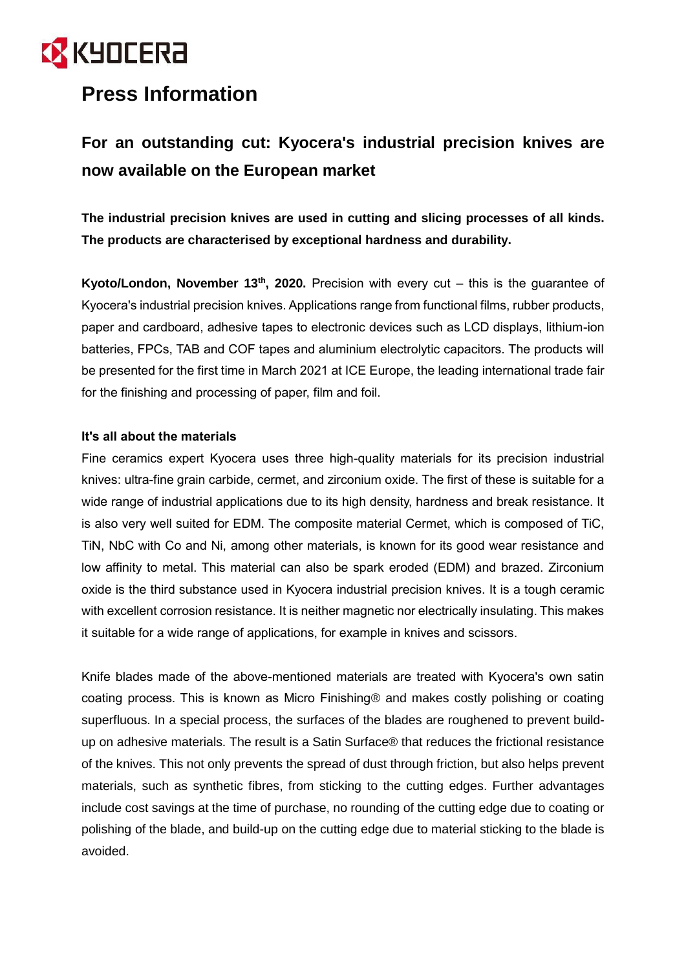## **EX** KYOCERA

### **Press Information**

### **For an outstanding cut: Kyocera's industrial precision knives are now available on the European market**

**The industrial precision knives are used in cutting and slicing processes of all kinds. The products are characterised by exceptional hardness and durability.**

**Kyoto/London, November 13th, 2020.** Precision with every cut – this is the guarantee of Kyocera's industrial precision knives. Applications range from functional films, rubber products, paper and cardboard, adhesive tapes to electronic devices such as LCD displays, lithium-ion batteries, FPCs, TAB and COF tapes and aluminium electrolytic capacitors. The products will be presented for the first time in March 2021 at ICE Europe, the leading international trade fair for the finishing and processing of paper, film and foil.

#### **It's all about the materials**

Fine ceramics expert Kyocera uses three high-quality materials for its precision industrial knives: ultra-fine grain carbide, cermet, and zirconium oxide. The first of these is suitable for a wide range of industrial applications due to its high density, hardness and break resistance. It is also very well suited for EDM. The composite material Cermet, which is composed of TiC, TiN, NbC with Co and Ni, among other materials, is known for its good wear resistance and low affinity to metal. This material can also be spark eroded (EDM) and brazed. Zirconium oxide is the third substance used in Kyocera industrial precision knives. It is a tough ceramic with excellent corrosion resistance. It is neither magnetic nor electrically insulating. This makes it suitable for a wide range of applications, for example in knives and scissors.

Knife blades made of the above-mentioned materials are treated with Kyocera's own satin coating process. This is known as Micro Finishing® and makes costly polishing or coating superfluous. In a special process, the surfaces of the blades are roughened to prevent buildup on adhesive materials. The result is a Satin Surface® that reduces the frictional resistance of the knives. This not only prevents the spread of dust through friction, but also helps prevent materials, such as synthetic fibres, from sticking to the cutting edges. Further advantages include cost savings at the time of purchase, no rounding of the cutting edge due to coating or polishing of the blade, and build-up on the cutting edge due to material sticking to the blade is avoided.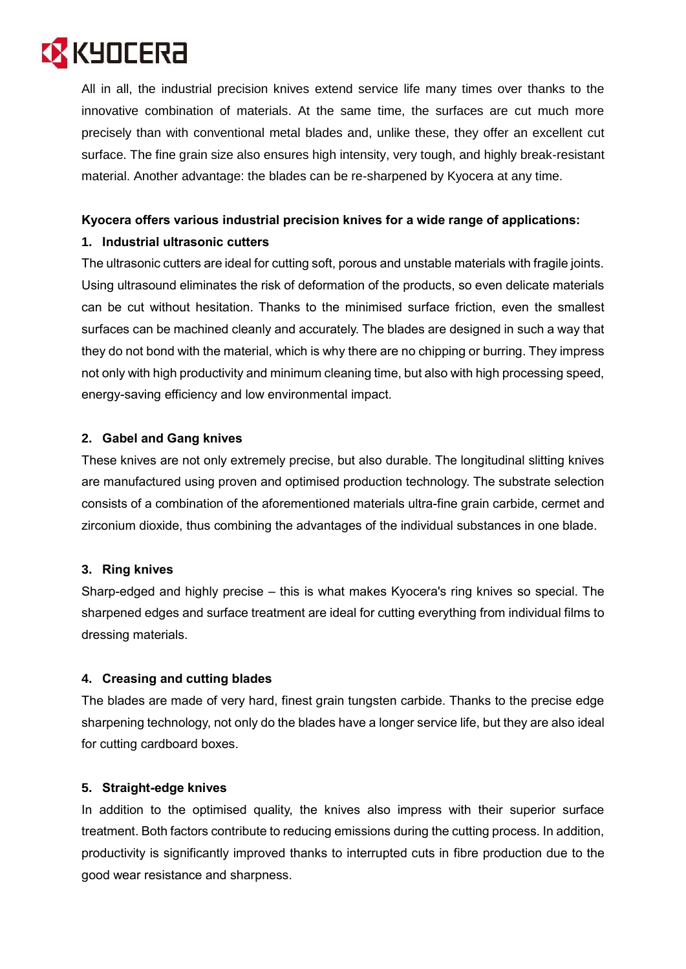# **EX KYOCERA**

All in all, the industrial precision knives extend service life many times over thanks to the innovative combination of materials. At the same time, the surfaces are cut much more precisely than with conventional metal blades and, unlike these, they offer an excellent cut surface. The fine grain size also ensures high intensity, very tough, and highly break-resistant material. Another advantage: the blades can be re-sharpened by Kyocera at any time.

### **Kyocera offers various industrial precision knives for a wide range of applications:**

#### **1. Industrial ultrasonic cutters**

The ultrasonic cutters are ideal for cutting soft, porous and unstable materials with fragile joints. Using ultrasound eliminates the risk of deformation of the products, so even delicate materials can be cut without hesitation. Thanks to the minimised surface friction, even the smallest surfaces can be machined cleanly and accurately. The blades are designed in such a way that they do not bond with the material, which is why there are no chipping or burring. They impress not only with high productivity and minimum cleaning time, but also with high processing speed, energy-saving efficiency and low environmental impact.

#### **2. Gabel and Gang knives**

These knives are not only extremely precise, but also durable. The longitudinal slitting knives are manufactured using proven and optimised production technology. The substrate selection consists of a combination of the aforementioned materials ultra-fine grain carbide, cermet and zirconium dioxide, thus combining the advantages of the individual substances in one blade.

#### **3. Ring knives**

Sharp-edged and highly precise – this is what makes Kyocera's ring knives so special. The sharpened edges and surface treatment are ideal for cutting everything from individual films to dressing materials.

#### **4. Creasing and cutting blades**

The blades are made of very hard, finest grain tungsten carbide. Thanks to the precise edge sharpening technology, not only do the blades have a longer service life, but they are also ideal for cutting cardboard boxes.

#### **5. Straight-edge knives**

In addition to the optimised quality, the knives also impress with their superior surface treatment. Both factors contribute to reducing emissions during the cutting process. In addition, productivity is significantly improved thanks to interrupted cuts in fibre production due to the good wear resistance and sharpness.